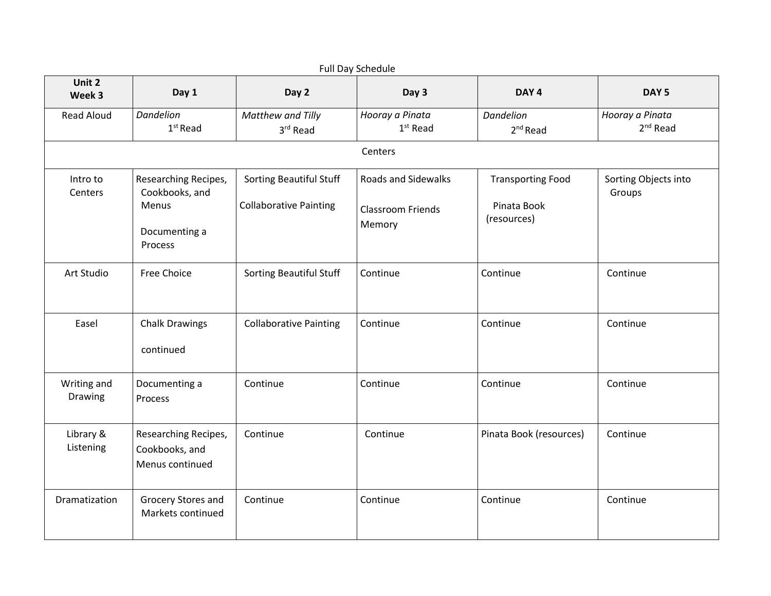| Unit 2                 |                                                                             |                                                                 | <b>Full Day Schedule</b>                                         |                                                        |                                |  |
|------------------------|-----------------------------------------------------------------------------|-----------------------------------------------------------------|------------------------------------------------------------------|--------------------------------------------------------|--------------------------------|--|
| Week 3                 | Day 1                                                                       | Day 2                                                           | Day 3                                                            | DAY <sub>4</sub>                                       | DAY <sub>5</sub>               |  |
| <b>Read Aloud</b>      | <b>Dandelion</b><br>$1st$ Read                                              | Matthew and Tilly<br>3rd Read                                   | Hooray a Pinata<br>$1st$ Read                                    | Dandelion<br>$2^{nd}$ Read                             | Hooray a Pinata<br>$2nd$ Read  |  |
|                        | Centers                                                                     |                                                                 |                                                                  |                                                        |                                |  |
| Intro to<br>Centers    | Researching Recipes,<br>Cookbooks, and<br>Menus<br>Documenting a<br>Process | <b>Sorting Beautiful Stuff</b><br><b>Collaborative Painting</b> | <b>Roads and Sidewalks</b><br><b>Classroom Friends</b><br>Memory | <b>Transporting Food</b><br>Pinata Book<br>(resources) | Sorting Objects into<br>Groups |  |
| Art Studio             | Free Choice                                                                 | Sorting Beautiful Stuff                                         | Continue                                                         | Continue                                               | Continue                       |  |
| Easel                  | <b>Chalk Drawings</b><br>continued                                          | <b>Collaborative Painting</b>                                   | Continue                                                         | Continue                                               | Continue                       |  |
| Writing and<br>Drawing | Documenting a<br>Process                                                    | Continue                                                        | Continue                                                         | Continue                                               | Continue                       |  |
| Library &<br>Listening | Researching Recipes,<br>Cookbooks, and<br>Menus continued                   | Continue                                                        | Continue                                                         | Pinata Book (resources)                                | Continue                       |  |
| Dramatization          | Grocery Stores and<br>Markets continued                                     | Continue                                                        | Continue                                                         | Continue                                               | Continue                       |  |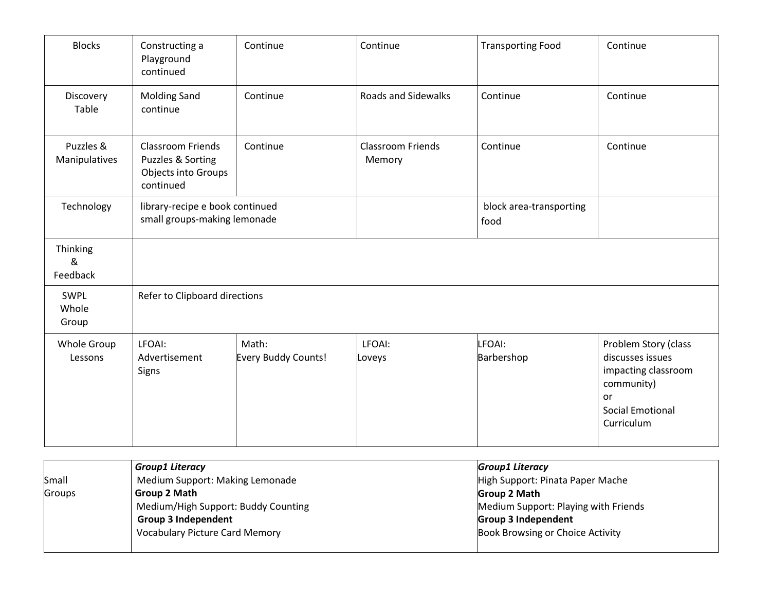| <b>Blocks</b>              | Constructing a<br>Playground<br>continued                                         | Continue                     | Continue                           | <b>Transporting Food</b>        | Continue                                                                                                                     |
|----------------------------|-----------------------------------------------------------------------------------|------------------------------|------------------------------------|---------------------------------|------------------------------------------------------------------------------------------------------------------------------|
| Discovery<br>Table         | <b>Molding Sand</b><br>continue                                                   | Continue                     | <b>Roads and Sidewalks</b>         | Continue                        | Continue                                                                                                                     |
| Puzzles &<br>Manipulatives | <b>Classroom Friends</b><br>Puzzles & Sorting<br>Objects into Groups<br>continued | Continue                     | <b>Classroom Friends</b><br>Memory | Continue                        | Continue                                                                                                                     |
| Technology                 | library-recipe e book continued<br>small groups-making lemonade                   |                              |                                    | block area-transporting<br>food |                                                                                                                              |
| Thinking<br>&<br>Feedback  |                                                                                   |                              |                                    |                                 |                                                                                                                              |
| SWPL<br>Whole<br>Group     | Refer to Clipboard directions                                                     |                              |                                    |                                 |                                                                                                                              |
| Whole Group<br>Lessons     | LFOAI:<br>Advertisement<br>Signs                                                  | Math:<br>Every Buddy Counts! | LFOAI:<br>Loveys                   | LFOAI:<br>Barbershop            | Problem Story (class<br>discusses issues<br>impacting classroom<br>community)<br>or<br><b>Social Emotional</b><br>Curriculum |

|        | <b>Group1 Literacy</b>                | <b>Group1 Literacy</b>               |
|--------|---------------------------------------|--------------------------------------|
| Small  | Medium Support: Making Lemonade       | High Support: Pinata Paper Mache     |
| Groups | Group 2 Math                          | Group 2 Math                         |
|        | Medium/High Support: Buddy Counting   | Medium Support: Playing with Friends |
|        | <b>Group 3 Independent</b>            | <b>Group 3 Independent</b>           |
|        | <b>Vocabulary Picture Card Memory</b> | Book Browsing or Choice Activity     |
|        |                                       |                                      |